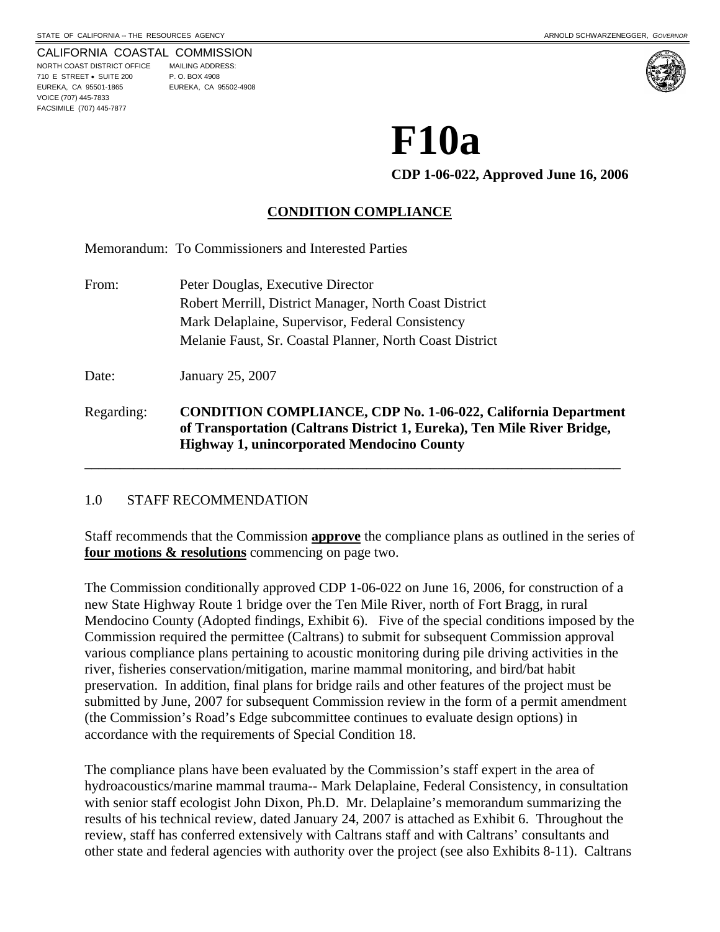VOICE (707) 445-7833 FACSIMILE (707) 445-7877

CALIFORNIA COASTAL COMMISSION NORTH COAST DISTRICT OFFICE MAILING ADDRESS: 710 E STREET • SUITE 200 P. O. BOX 4908 EUREKA, CA 95501-1865 EUREKA, CA 95502-4908

# **F10a**

**CDP 1-06-022, Approved June 16, 2006** 

# **CONDITION COMPLIANCE**

Memorandum: To Commissioners and Interested Parties

From: Peter Douglas, Executive Director Robert Merrill, District Manager, North Coast District Mark Delaplaine, Supervisor, Federal Consistency Melanie Faust, Sr. Coastal Planner, North Coast District Date: January 25, 2007 Regarding: **CONDITION COMPLIANCE, CDP No. 1-06-022, California Department of Transportation (Caltrans District 1, Eureka), Ten Mile River Bridge, Highway 1, unincorporated Mendocino County \_\_\_\_\_\_\_\_\_\_\_\_\_\_\_\_\_\_\_\_\_\_\_\_\_\_\_\_\_\_\_\_\_\_\_\_\_\_\_\_\_\_\_\_\_\_\_\_\_\_\_\_\_\_\_\_\_\_\_\_\_\_\_\_\_\_\_\_\_\_\_\_\_\_\_\_** 

#### 1.0 STAFF RECOMMENDATION

Staff recommends that the Commission **approve** the compliance plans as outlined in the series of **four motions & resolutions** commencing on page two.

The Commission conditionally approved CDP 1-06-022 on June 16, 2006, for construction of a new State Highway Route 1 bridge over the Ten Mile River, north of Fort Bragg, in rural Mendocino County (Adopted findings, Exhibit 6). Five of the special conditions imposed by the Commission required the permittee (Caltrans) to submit for subsequent Commission approval various compliance plans pertaining to acoustic monitoring during pile driving activities in the river, fisheries conservation/mitigation, marine mammal monitoring, and bird/bat habit preservation. In addition, final plans for bridge rails and other features of the project must be submitted by June, 2007 for subsequent Commission review in the form of a permit amendment (the Commission's Road's Edge subcommittee continues to evaluate design options) in accordance with the requirements of Special Condition 18.

The compliance plans have been evaluated by the Commission's staff expert in the area of hydroacoustics/marine mammal trauma-- Mark Delaplaine, Federal Consistency, in consultation with senior staff ecologist John Dixon, Ph.D. Mr. Delaplaine's memorandum summarizing the results of his technical review, dated January 24, 2007 is attached as Exhibit 6. Throughout the review, staff has conferred extensively with Caltrans staff and with Caltrans' consultants and other state and federal agencies with authority over the project (see also Exhibits 8-11). Caltrans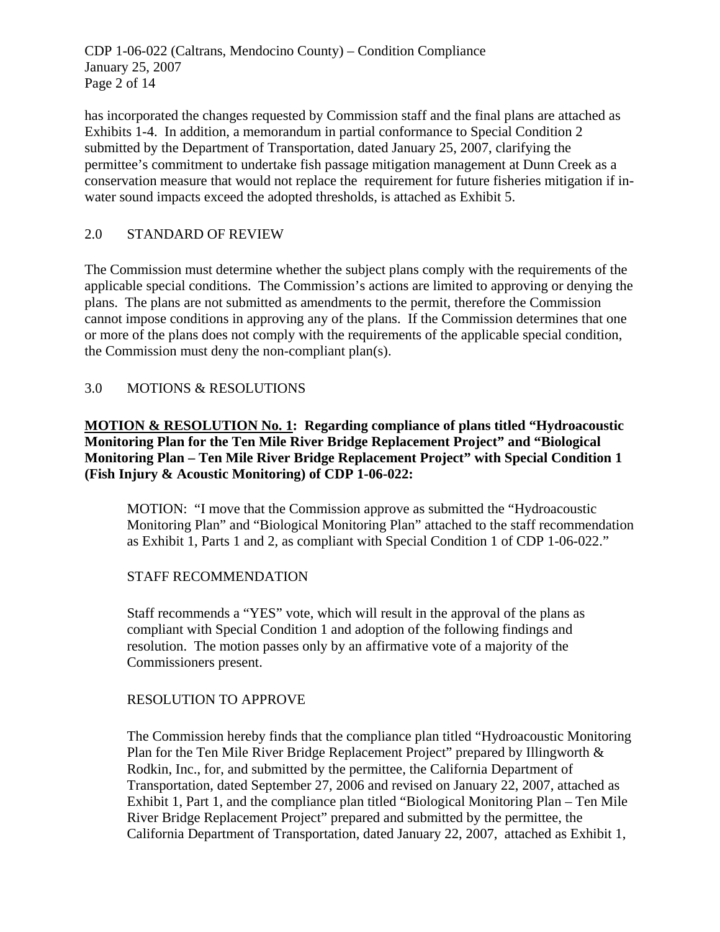CDP 1-06-022 (Caltrans, Mendocino County) – Condition Compliance January 25, 2007 Page 2 of 14

has incorporated the changes requested by Commission staff and the final plans are attached as Exhibits 1-4. In addition, a memorandum in partial conformance to Special Condition 2 submitted by the Department of Transportation, dated January 25, 2007, clarifying the permittee's commitment to undertake fish passage mitigation management at Dunn Creek as a conservation measure that would not replace the requirement for future fisheries mitigation if inwater sound impacts exceed the adopted thresholds, is attached as Exhibit 5.

# 2.0 STANDARD OF REVIEW

The Commission must determine whether the subject plans comply with the requirements of the applicable special conditions. The Commission's actions are limited to approving or denying the plans. The plans are not submitted as amendments to the permit, therefore the Commission cannot impose conditions in approving any of the plans. If the Commission determines that one or more of the plans does not comply with the requirements of the applicable special condition, the Commission must deny the non-compliant plan(s).

# 3.0 MOTIONS & RESOLUTIONS

# **MOTION & RESOLUTION No. 1: Regarding compliance of plans titled "Hydroacoustic Monitoring Plan for the Ten Mile River Bridge Replacement Project" and "Biological Monitoring Plan – Ten Mile River Bridge Replacement Project" with Special Condition 1 (Fish Injury & Acoustic Monitoring) of CDP 1-06-022:**

MOTION: "I move that the Commission approve as submitted the "Hydroacoustic Monitoring Plan" and "Biological Monitoring Plan" attached to the staff recommendation as Exhibit 1, Parts 1 and 2, as compliant with Special Condition 1 of CDP 1-06-022."

# STAFF RECOMMENDATION

Staff recommends a "YES" vote, which will result in the approval of the plans as compliant with Special Condition 1 and adoption of the following findings and resolution. The motion passes only by an affirmative vote of a majority of the Commissioners present.

# RESOLUTION TO APPROVE

The Commission hereby finds that the compliance plan titled "Hydroacoustic Monitoring Plan for the Ten Mile River Bridge Replacement Project" prepared by Illingworth & Rodkin, Inc., for, and submitted by the permittee, the California Department of Transportation, dated September 27, 2006 and revised on January 22, 2007, attached as Exhibit 1, Part 1, and the compliance plan titled "Biological Monitoring Plan – Ten Mile River Bridge Replacement Project" prepared and submitted by the permittee, the California Department of Transportation, dated January 22, 2007, attached as Exhibit 1,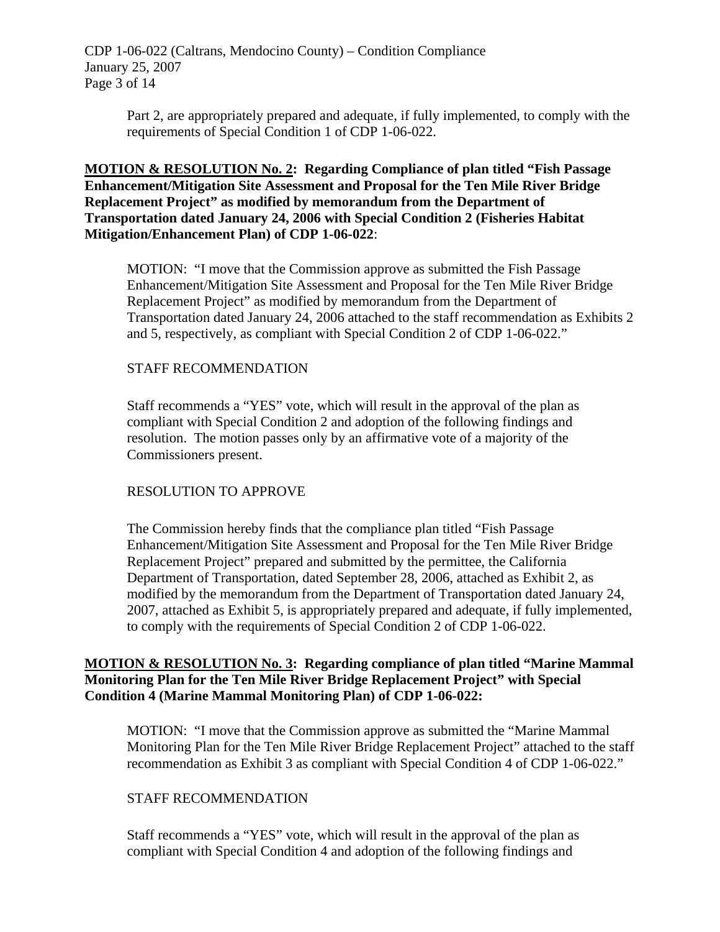CDP 1-06-022 (Caltrans, Mendocino County) – Condition Compliance January 25, 2007 Page 3 of 14

> Part 2, are appropriately prepared and adequate, if fully implemented, to comply with the requirements of Special Condition 1 of CDP 1-06-022.

#### **MOTION & RESOLUTION No. 2: Regarding Compliance of plan titled "Fish Passage Enhancement/Mitigation Site Assessment and Proposal for the Ten Mile River Bridge Replacement Project" as modified by memorandum from the Department of Transportation dated January 24, 2006 with Special Condition 2 (Fisheries Habitat Mitigation/Enhancement Plan) of CDP 1-06-022**:

MOTION: "I move that the Commission approve as submitted the Fish Passage Enhancement/Mitigation Site Assessment and Proposal for the Ten Mile River Bridge Replacement Project" as modified by memorandum from the Department of Transportation dated January 24, 2006 attached to the staff recommendation as Exhibits 2 and 5, respectively, as compliant with Special Condition 2 of CDP 1-06-022."

#### STAFF RECOMMENDATION

Staff recommends a "YES" vote, which will result in the approval of the plan as compliant with Special Condition 2 and adoption of the following findings and resolution. The motion passes only by an affirmative vote of a majority of the Commissioners present.

# RESOLUTION TO APPROVE

The Commission hereby finds that the compliance plan titled "Fish Passage Enhancement/Mitigation Site Assessment and Proposal for the Ten Mile River Bridge Replacement Project" prepared and submitted by the permittee, the California Department of Transportation, dated September 28, 2006, attached as Exhibit 2, as modified by the memorandum from the Department of Transportation dated January 24, 2007, attached as Exhibit 5, is appropriately prepared and adequate, if fully implemented, to comply with the requirements of Special Condition 2 of CDP 1-06-022.

#### **MOTION & RESOLUTION No. 3: Regarding compliance of plan titled "Marine Mammal Monitoring Plan for the Ten Mile River Bridge Replacement Project" with Special Condition 4 (Marine Mammal Monitoring Plan) of CDP 1-06-022:**

MOTION: "I move that the Commission approve as submitted the "Marine Mammal Monitoring Plan for the Ten Mile River Bridge Replacement Project" attached to the staff recommendation as Exhibit 3 as compliant with Special Condition 4 of CDP 1-06-022."

#### STAFF RECOMMENDATION

Staff recommends a "YES" vote, which will result in the approval of the plan as compliant with Special Condition 4 and adoption of the following findings and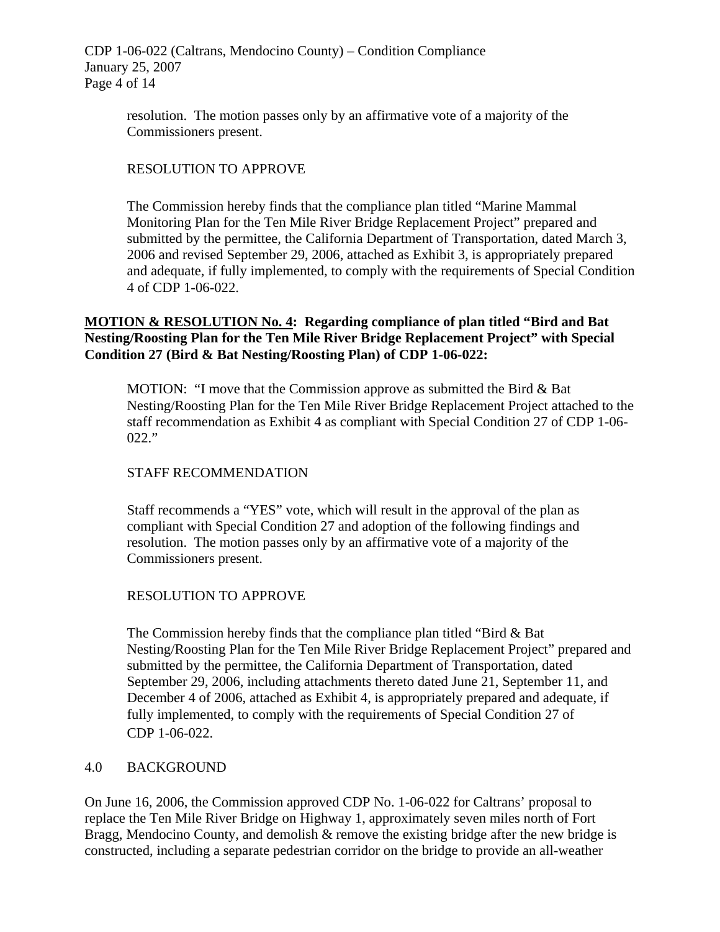CDP 1-06-022 (Caltrans, Mendocino County) – Condition Compliance January 25, 2007 Page 4 of 14

> resolution. The motion passes only by an affirmative vote of a majority of the Commissioners present.

# RESOLUTION TO APPROVE

The Commission hereby finds that the compliance plan titled "Marine Mammal Monitoring Plan for the Ten Mile River Bridge Replacement Project" prepared and submitted by the permittee, the California Department of Transportation, dated March 3, 2006 and revised September 29, 2006, attached as Exhibit 3, is appropriately prepared and adequate, if fully implemented, to comply with the requirements of Special Condition 4 of CDP 1-06-022.

# **MOTION & RESOLUTION No. 4: Regarding compliance of plan titled "Bird and Bat Nesting/Roosting Plan for the Ten Mile River Bridge Replacement Project" with Special Condition 27 (Bird & Bat Nesting/Roosting Plan) of CDP 1-06-022:**

MOTION: "I move that the Commission approve as submitted the Bird  $\&$  Bat Nesting/Roosting Plan for the Ten Mile River Bridge Replacement Project attached to the staff recommendation as Exhibit 4 as compliant with Special Condition 27 of CDP 1-06- 022."

# STAFF RECOMMENDATION

Staff recommends a "YES" vote, which will result in the approval of the plan as compliant with Special Condition 27 and adoption of the following findings and resolution. The motion passes only by an affirmative vote of a majority of the Commissioners present.

# RESOLUTION TO APPROVE

The Commission hereby finds that the compliance plan titled "Bird & Bat Nesting/Roosting Plan for the Ten Mile River Bridge Replacement Project" prepared and submitted by the permittee, the California Department of Transportation, dated September 29, 2006, including attachments thereto dated June 21, September 11, and December 4 of 2006, attached as Exhibit 4, is appropriately prepared and adequate, if fully implemented, to comply with the requirements of Special Condition 27 of CDP 1-06-022.

#### 4.0 BACKGROUND

On June 16, 2006, the Commission approved CDP No. 1-06-022 for Caltrans' proposal to replace the Ten Mile River Bridge on Highway 1, approximately seven miles north of Fort Bragg, Mendocino County, and demolish & remove the existing bridge after the new bridge is constructed, including a separate pedestrian corridor on the bridge to provide an all-weather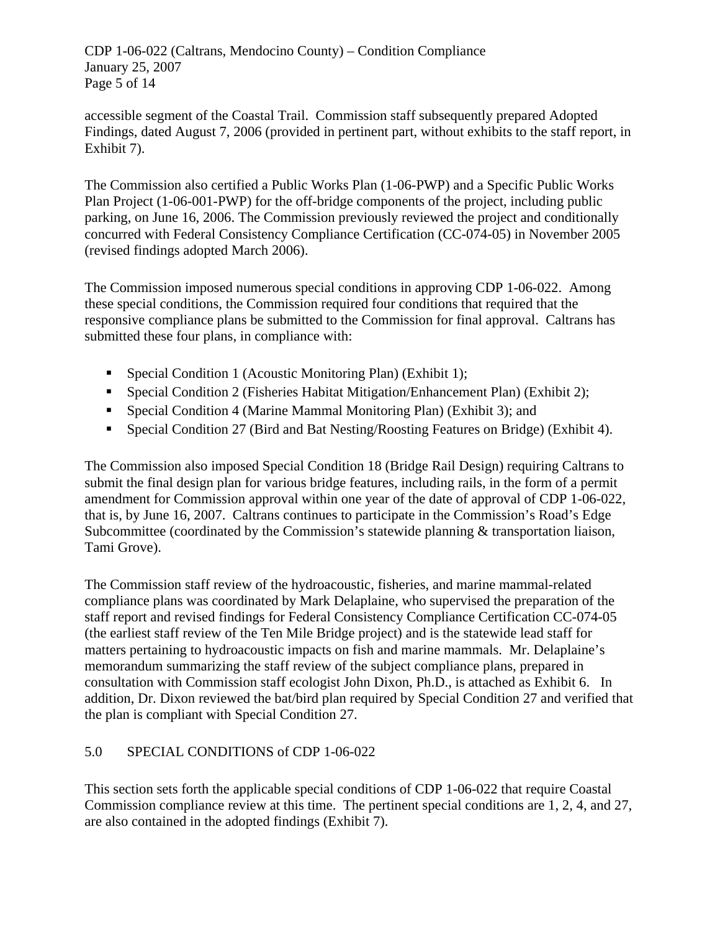CDP 1-06-022 (Caltrans, Mendocino County) – Condition Compliance January 25, 2007 Page 5 of 14

accessible segment of the Coastal Trail. Commission staff subsequently prepared Adopted Findings, dated August 7, 2006 (provided in pertinent part, without exhibits to the staff report, in Exhibit 7).

The Commission also certified a Public Works Plan (1-06-PWP) and a Specific Public Works Plan Project (1-06-001-PWP) for the off-bridge components of the project, including public parking, on June 16, 2006. The Commission previously reviewed the project and conditionally concurred with Federal Consistency Compliance Certification (CC-074-05) in November 2005 (revised findings adopted March 2006).

The Commission imposed numerous special conditions in approving CDP 1-06-022. Among these special conditions, the Commission required four conditions that required that the responsive compliance plans be submitted to the Commission for final approval. Caltrans has submitted these four plans, in compliance with:

- Special Condition 1 (Acoustic Monitoring Plan) (Exhibit 1);
- Special Condition 2 (Fisheries Habitat Mitigation/Enhancement Plan) (Exhibit 2);
- Special Condition 4 (Marine Mammal Monitoring Plan) (Exhibit 3); and
- Special Condition 27 (Bird and Bat Nesting/Roosting Features on Bridge) (Exhibit 4).

The Commission also imposed Special Condition 18 (Bridge Rail Design) requiring Caltrans to submit the final design plan for various bridge features, including rails, in the form of a permit amendment for Commission approval within one year of the date of approval of CDP 1-06-022, that is, by June 16, 2007. Caltrans continues to participate in the Commission's Road's Edge Subcommittee (coordinated by the Commission's statewide planning & transportation liaison, Tami Grove).

The Commission staff review of the hydroacoustic, fisheries, and marine mammal-related compliance plans was coordinated by Mark Delaplaine, who supervised the preparation of the staff report and revised findings for Federal Consistency Compliance Certification CC-074-05 (the earliest staff review of the Ten Mile Bridge project) and is the statewide lead staff for matters pertaining to hydroacoustic impacts on fish and marine mammals. Mr. Delaplaine's memorandum summarizing the staff review of the subject compliance plans, prepared in consultation with Commission staff ecologist John Dixon, Ph.D., is attached as Exhibit 6. In addition, Dr. Dixon reviewed the bat/bird plan required by Special Condition 27 and verified that the plan is compliant with Special Condition 27.

# 5.0 SPECIAL CONDITIONS of CDP 1-06-022

This section sets forth the applicable special conditions of CDP 1-06-022 that require Coastal Commission compliance review at this time. The pertinent special conditions are 1, 2, 4, and 27, are also contained in the adopted findings (Exhibit 7).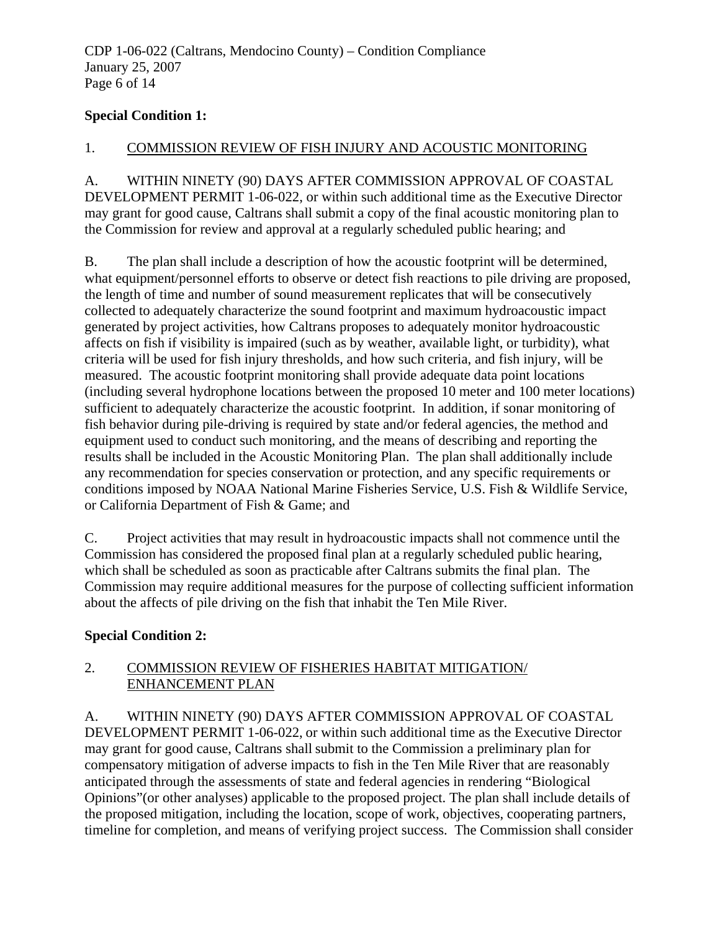# **Special Condition 1:**

#### 1. COMMISSION REVIEW OF FISH INJURY AND ACOUSTIC MONITORING

A. WITHIN NINETY (90) DAYS AFTER COMMISSION APPROVAL OF COASTAL DEVELOPMENT PERMIT 1-06-022, or within such additional time as the Executive Director may grant for good cause, Caltrans shall submit a copy of the final acoustic monitoring plan to the Commission for review and approval at a regularly scheduled public hearing; and

B. The plan shall include a description of how the acoustic footprint will be determined, what equipment/personnel efforts to observe or detect fish reactions to pile driving are proposed, the length of time and number of sound measurement replicates that will be consecutively collected to adequately characterize the sound footprint and maximum hydroacoustic impact generated by project activities, how Caltrans proposes to adequately monitor hydroacoustic affects on fish if visibility is impaired (such as by weather, available light, or turbidity), what criteria will be used for fish injury thresholds, and how such criteria, and fish injury, will be measured. The acoustic footprint monitoring shall provide adequate data point locations (including several hydrophone locations between the proposed 10 meter and 100 meter locations) sufficient to adequately characterize the acoustic footprint. In addition, if sonar monitoring of fish behavior during pile-driving is required by state and/or federal agencies, the method and equipment used to conduct such monitoring, and the means of describing and reporting the results shall be included in the Acoustic Monitoring Plan. The plan shall additionally include any recommendation for species conservation or protection, and any specific requirements or conditions imposed by NOAA National Marine Fisheries Service, U.S. Fish & Wildlife Service, or California Department of Fish & Game; and

C. Project activities that may result in hydroacoustic impacts shall not commence until the Commission has considered the proposed final plan at a regularly scheduled public hearing, which shall be scheduled as soon as practicable after Caltrans submits the final plan. The Commission may require additional measures for the purpose of collecting sufficient information about the affects of pile driving on the fish that inhabit the Ten Mile River.

#### **Special Condition 2:**

# 2. COMMISSION REVIEW OF FISHERIES HABITAT MITIGATION/ ENHANCEMENT PLAN

A. WITHIN NINETY (90) DAYS AFTER COMMISSION APPROVAL OF COASTAL DEVELOPMENT PERMIT 1-06-022, or within such additional time as the Executive Director may grant for good cause, Caltrans shall submit to the Commission a preliminary plan for compensatory mitigation of adverse impacts to fish in the Ten Mile River that are reasonably anticipated through the assessments of state and federal agencies in rendering "Biological Opinions"(or other analyses) applicable to the proposed project. The plan shall include details of the proposed mitigation, including the location, scope of work, objectives, cooperating partners, timeline for completion, and means of verifying project success. The Commission shall consider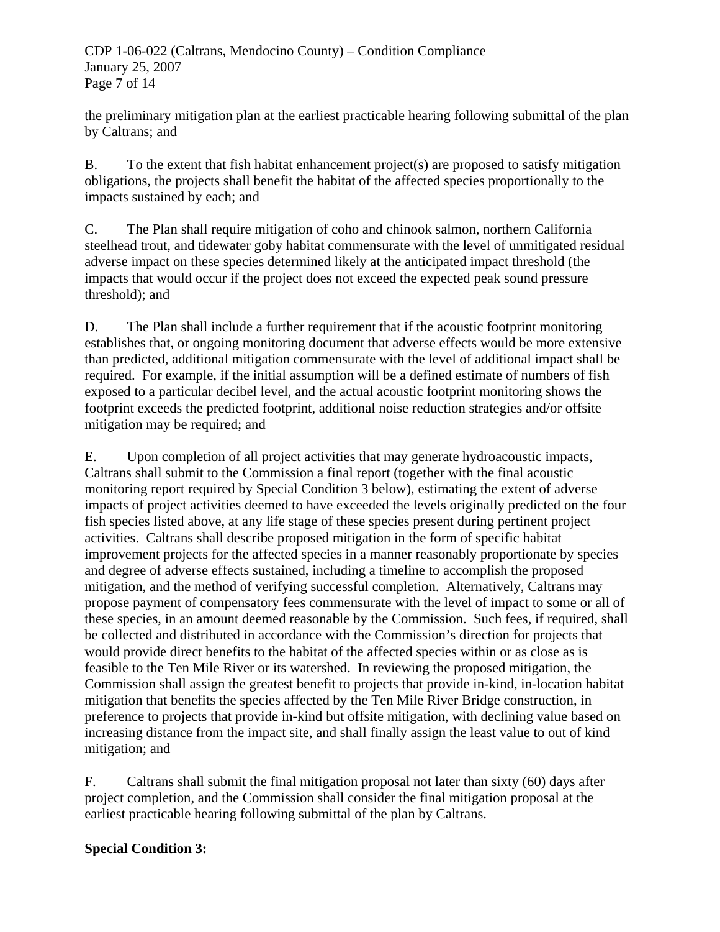CDP 1-06-022 (Caltrans, Mendocino County) – Condition Compliance January 25, 2007 Page 7 of 14

the preliminary mitigation plan at the earliest practicable hearing following submittal of the plan by Caltrans; and

B. To the extent that fish habitat enhancement project(s) are proposed to satisfy mitigation obligations, the projects shall benefit the habitat of the affected species proportionally to the impacts sustained by each; and

C. The Plan shall require mitigation of coho and chinook salmon, northern California steelhead trout, and tidewater goby habitat commensurate with the level of unmitigated residual adverse impact on these species determined likely at the anticipated impact threshold (the impacts that would occur if the project does not exceed the expected peak sound pressure threshold); and

D. The Plan shall include a further requirement that if the acoustic footprint monitoring establishes that, or ongoing monitoring document that adverse effects would be more extensive than predicted, additional mitigation commensurate with the level of additional impact shall be required. For example, if the initial assumption will be a defined estimate of numbers of fish exposed to a particular decibel level, and the actual acoustic footprint monitoring shows the footprint exceeds the predicted footprint, additional noise reduction strategies and/or offsite mitigation may be required; and

E. Upon completion of all project activities that may generate hydroacoustic impacts, Caltrans shall submit to the Commission a final report (together with the final acoustic monitoring report required by Special Condition 3 below), estimating the extent of adverse impacts of project activities deemed to have exceeded the levels originally predicted on the four fish species listed above, at any life stage of these species present during pertinent project activities. Caltrans shall describe proposed mitigation in the form of specific habitat improvement projects for the affected species in a manner reasonably proportionate by species and degree of adverse effects sustained, including a timeline to accomplish the proposed mitigation, and the method of verifying successful completion. Alternatively, Caltrans may propose payment of compensatory fees commensurate with the level of impact to some or all of these species, in an amount deemed reasonable by the Commission. Such fees, if required, shall be collected and distributed in accordance with the Commission's direction for projects that would provide direct benefits to the habitat of the affected species within or as close as is feasible to the Ten Mile River or its watershed. In reviewing the proposed mitigation, the Commission shall assign the greatest benefit to projects that provide in-kind, in-location habitat mitigation that benefits the species affected by the Ten Mile River Bridge construction, in preference to projects that provide in-kind but offsite mitigation, with declining value based on increasing distance from the impact site, and shall finally assign the least value to out of kind mitigation; and

F. Caltrans shall submit the final mitigation proposal not later than sixty (60) days after project completion, and the Commission shall consider the final mitigation proposal at the earliest practicable hearing following submittal of the plan by Caltrans.

# **Special Condition 3:**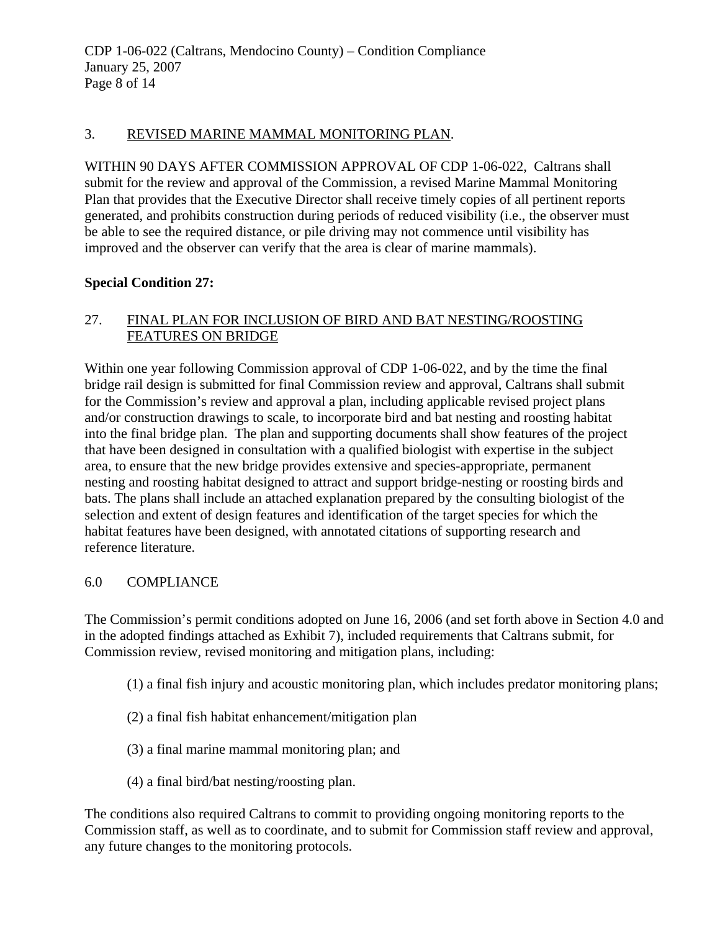# 3. REVISED MARINE MAMMAL MONITORING PLAN.

WITHIN 90 DAYS AFTER COMMISSION APPROVAL OF CDP 1-06-022, Caltrans shall submit for the review and approval of the Commission, a revised Marine Mammal Monitoring Plan that provides that the Executive Director shall receive timely copies of all pertinent reports generated, and prohibits construction during periods of reduced visibility (i.e., the observer must be able to see the required distance, or pile driving may not commence until visibility has improved and the observer can verify that the area is clear of marine mammals).

# **Special Condition 27:**

# 27. FINAL PLAN FOR INCLUSION OF BIRD AND BAT NESTING/ROOSTING FEATURES ON BRIDGE

Within one year following Commission approval of CDP 1-06-022, and by the time the final bridge rail design is submitted for final Commission review and approval, Caltrans shall submit for the Commission's review and approval a plan, including applicable revised project plans and/or construction drawings to scale, to incorporate bird and bat nesting and roosting habitat into the final bridge plan. The plan and supporting documents shall show features of the project that have been designed in consultation with a qualified biologist with expertise in the subject area, to ensure that the new bridge provides extensive and species-appropriate, permanent nesting and roosting habitat designed to attract and support bridge-nesting or roosting birds and bats. The plans shall include an attached explanation prepared by the consulting biologist of the selection and extent of design features and identification of the target species for which the habitat features have been designed, with annotated citations of supporting research and reference literature.

# 6.0 COMPLIANCE

The Commission's permit conditions adopted on June 16, 2006 (and set forth above in Section 4.0 and in the adopted findings attached as Exhibit 7), included requirements that Caltrans submit, for Commission review, revised monitoring and mitigation plans, including:

- (1) a final fish injury and acoustic monitoring plan, which includes predator monitoring plans;
- (2) a final fish habitat enhancement/mitigation plan
- (3) a final marine mammal monitoring plan; and
- (4) a final bird/bat nesting/roosting plan.

The conditions also required Caltrans to commit to providing ongoing monitoring reports to the Commission staff, as well as to coordinate, and to submit for Commission staff review and approval, any future changes to the monitoring protocols.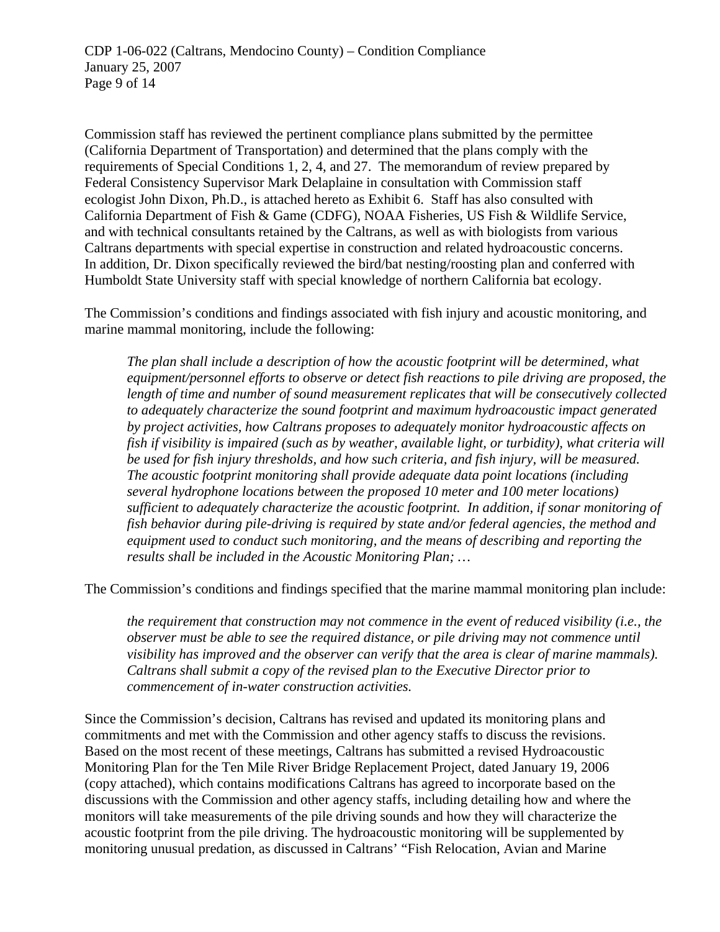Commission staff has reviewed the pertinent compliance plans submitted by the permittee (California Department of Transportation) and determined that the plans comply with the requirements of Special Conditions 1, 2, 4, and 27. The memorandum of review prepared by Federal Consistency Supervisor Mark Delaplaine in consultation with Commission staff ecologist John Dixon, Ph.D., is attached hereto as Exhibit 6. Staff has also consulted with California Department of Fish & Game (CDFG), NOAA Fisheries, US Fish & Wildlife Service, and with technical consultants retained by the Caltrans, as well as with biologists from various Caltrans departments with special expertise in construction and related hydroacoustic concerns. In addition, Dr. Dixon specifically reviewed the bird/bat nesting/roosting plan and conferred with Humboldt State University staff with special knowledge of northern California bat ecology.

The Commission's conditions and findings associated with fish injury and acoustic monitoring, and marine mammal monitoring, include the following:

*The plan shall include a description of how the acoustic footprint will be determined, what equipment/personnel efforts to observe or detect fish reactions to pile driving are proposed, the length of time and number of sound measurement replicates that will be consecutively collected to adequately characterize the sound footprint and maximum hydroacoustic impact generated by project activities, how Caltrans proposes to adequately monitor hydroacoustic affects on fish if visibility is impaired (such as by weather, available light, or turbidity), what criteria will be used for fish injury thresholds, and how such criteria, and fish injury, will be measured. The acoustic footprint monitoring shall provide adequate data point locations (including several hydrophone locations between the proposed 10 meter and 100 meter locations) sufficient to adequately characterize the acoustic footprint. In addition, if sonar monitoring of fish behavior during pile-driving is required by state and/or federal agencies, the method and equipment used to conduct such monitoring, and the means of describing and reporting the results shall be included in the Acoustic Monitoring Plan; …* 

The Commission's conditions and findings specified that the marine mammal monitoring plan include:

*the requirement that construction may not commence in the event of reduced visibility (i.e., the observer must be able to see the required distance, or pile driving may not commence until visibility has improved and the observer can verify that the area is clear of marine mammals). Caltrans shall submit a copy of the revised plan to the Executive Director prior to commencement of in-water construction activities.* 

Since the Commission's decision, Caltrans has revised and updated its monitoring plans and commitments and met with the Commission and other agency staffs to discuss the revisions. Based on the most recent of these meetings, Caltrans has submitted a revised Hydroacoustic Monitoring Plan for the Ten Mile River Bridge Replacement Project, dated January 19, 2006 (copy attached), which contains modifications Caltrans has agreed to incorporate based on the discussions with the Commission and other agency staffs, including detailing how and where the monitors will take measurements of the pile driving sounds and how they will characterize the acoustic footprint from the pile driving. The hydroacoustic monitoring will be supplemented by monitoring unusual predation, as discussed in Caltrans' "Fish Relocation, Avian and Marine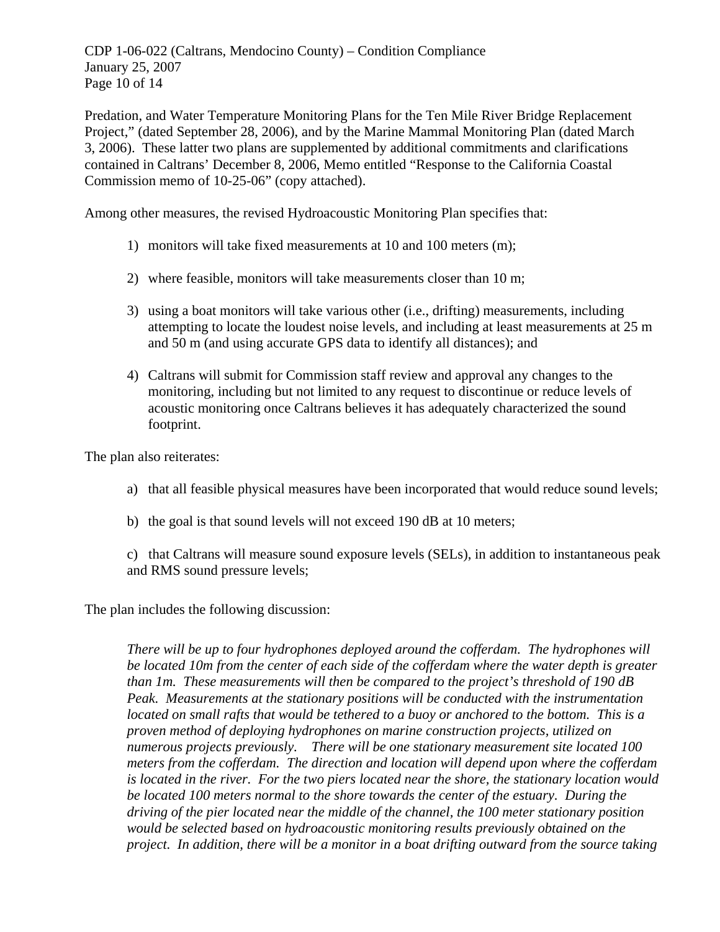CDP 1-06-022 (Caltrans, Mendocino County) – Condition Compliance January 25, 2007 Page 10 of 14

Predation, and Water Temperature Monitoring Plans for the Ten Mile River Bridge Replacement Project," (dated September 28, 2006), and by the Marine Mammal Monitoring Plan (dated March 3, 2006). These latter two plans are supplemented by additional commitments and clarifications contained in Caltrans' December 8, 2006, Memo entitled "Response to the California Coastal Commission memo of 10-25-06" (copy attached).

Among other measures, the revised Hydroacoustic Monitoring Plan specifies that:

- 1) monitors will take fixed measurements at 10 and 100 meters (m);
- 2) where feasible, monitors will take measurements closer than 10 m;
- 3) using a boat monitors will take various other (i.e., drifting) measurements, including attempting to locate the loudest noise levels, and including at least measurements at 25 m and 50 m (and using accurate GPS data to identify all distances); and
- 4) Caltrans will submit for Commission staff review and approval any changes to the monitoring, including but not limited to any request to discontinue or reduce levels of acoustic monitoring once Caltrans believes it has adequately characterized the sound footprint.

The plan also reiterates:

- a) that all feasible physical measures have been incorporated that would reduce sound levels;
- b) the goal is that sound levels will not exceed 190 dB at 10 meters;

c) that Caltrans will measure sound exposure levels (SELs), in addition to instantaneous peak and RMS sound pressure levels;

The plan includes the following discussion:

*There will be up to four hydrophones deployed around the cofferdam. The hydrophones will be located 10m from the center of each side of the cofferdam where the water depth is greater than 1m. These measurements will then be compared to the project's threshold of 190 dB Peak. Measurements at the stationary positions will be conducted with the instrumentation located on small rafts that would be tethered to a buoy or anchored to the bottom. This is a proven method of deploying hydrophones on marine construction projects, utilized on numerous projects previously. There will be one stationary measurement site located 100 meters from the cofferdam. The direction and location will depend upon where the cofferdam is located in the river. For the two piers located near the shore, the stationary location would be located 100 meters normal to the shore towards the center of the estuary. During the driving of the pier located near the middle of the channel, the 100 meter stationary position would be selected based on hydroacoustic monitoring results previously obtained on the project. In addition, there will be a monitor in a boat drifting outward from the source taking*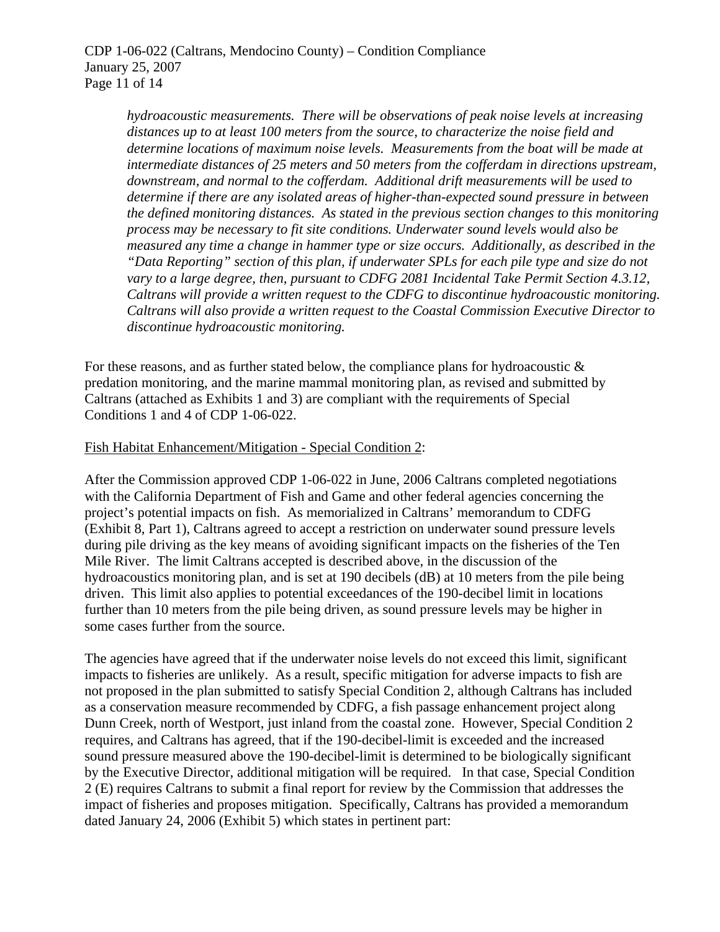*hydroacoustic measurements. There will be observations of peak noise levels at increasing distances up to at least 100 meters from the source, to characterize the noise field and determine locations of maximum noise levels. Measurements from the boat will be made at intermediate distances of 25 meters and 50 meters from the cofferdam in directions upstream, downstream, and normal to the cofferdam. Additional drift measurements will be used to determine if there are any isolated areas of higher-than-expected sound pressure in between the defined monitoring distances. As stated in the previous section changes to this monitoring process may be necessary to fit site conditions. Underwater sound levels would also be measured any time a change in hammer type or size occurs. Additionally, as described in the "Data Reporting" section of this plan, if underwater SPLs for each pile type and size do not vary to a large degree, then, pursuant to CDFG 2081 Incidental Take Permit Section 4.3.12, Caltrans will provide a written request to the CDFG to discontinue hydroacoustic monitoring. Caltrans will also provide a written request to the Coastal Commission Executive Director to discontinue hydroacoustic monitoring.* 

For these reasons, and as further stated below, the compliance plans for hydroacoustic  $\&$ predation monitoring, and the marine mammal monitoring plan, as revised and submitted by Caltrans (attached as Exhibits 1 and 3) are compliant with the requirements of Special Conditions 1 and 4 of CDP 1-06-022.

#### Fish Habitat Enhancement/Mitigation - Special Condition 2:

After the Commission approved CDP 1-06-022 in June, 2006 Caltrans completed negotiations with the California Department of Fish and Game and other federal agencies concerning the project's potential impacts on fish. As memorialized in Caltrans' memorandum to CDFG (Exhibit 8, Part 1), Caltrans agreed to accept a restriction on underwater sound pressure levels during pile driving as the key means of avoiding significant impacts on the fisheries of the Ten Mile River. The limit Caltrans accepted is described above, in the discussion of the hydroacoustics monitoring plan, and is set at 190 decibels (dB) at 10 meters from the pile being driven. This limit also applies to potential exceedances of the 190-decibel limit in locations further than 10 meters from the pile being driven, as sound pressure levels may be higher in some cases further from the source.

The agencies have agreed that if the underwater noise levels do not exceed this limit, significant impacts to fisheries are unlikely. As a result, specific mitigation for adverse impacts to fish are not proposed in the plan submitted to satisfy Special Condition 2, although Caltrans has included as a conservation measure recommended by CDFG, a fish passage enhancement project along Dunn Creek, north of Westport, just inland from the coastal zone. However, Special Condition 2 requires, and Caltrans has agreed, that if the 190-decibel-limit is exceeded and the increased sound pressure measured above the 190-decibel-limit is determined to be biologically significant by the Executive Director, additional mitigation will be required. In that case, Special Condition 2 (E) requires Caltrans to submit a final report for review by the Commission that addresses the impact of fisheries and proposes mitigation. Specifically, Caltrans has provided a memorandum dated January 24, 2006 (Exhibit 5) which states in pertinent part: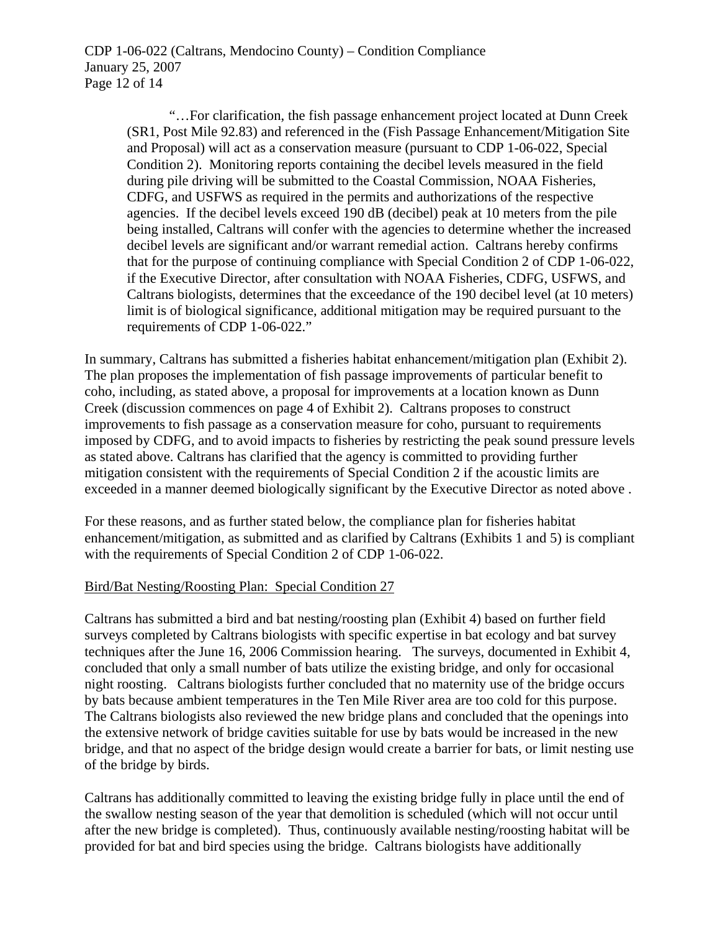CDP 1-06-022 (Caltrans, Mendocino County) – Condition Compliance January 25, 2007 Page 12 of 14

> "…For clarification, the fish passage enhancement project located at Dunn Creek (SR1, Post Mile 92.83) and referenced in the (Fish Passage Enhancement/Mitigation Site and Proposal) will act as a conservation measure (pursuant to CDP 1-06-022, Special Condition 2). Monitoring reports containing the decibel levels measured in the field during pile driving will be submitted to the Coastal Commission, NOAA Fisheries, CDFG, and USFWS as required in the permits and authorizations of the respective agencies. If the decibel levels exceed 190 dB (decibel) peak at 10 meters from the pile being installed, Caltrans will confer with the agencies to determine whether the increased decibel levels are significant and/or warrant remedial action. Caltrans hereby confirms that for the purpose of continuing compliance with Special Condition 2 of CDP 1-06-022, if the Executive Director, after consultation with NOAA Fisheries, CDFG, USFWS, and Caltrans biologists, determines that the exceedance of the 190 decibel level (at 10 meters) limit is of biological significance, additional mitigation may be required pursuant to the requirements of CDP 1-06-022."

In summary, Caltrans has submitted a fisheries habitat enhancement/mitigation plan (Exhibit 2). The plan proposes the implementation of fish passage improvements of particular benefit to coho, including, as stated above, a proposal for improvements at a location known as Dunn Creek (discussion commences on page 4 of Exhibit 2). Caltrans proposes to construct improvements to fish passage as a conservation measure for coho, pursuant to requirements imposed by CDFG, and to avoid impacts to fisheries by restricting the peak sound pressure levels as stated above. Caltrans has clarified that the agency is committed to providing further mitigation consistent with the requirements of Special Condition 2 if the acoustic limits are exceeded in a manner deemed biologically significant by the Executive Director as noted above .

For these reasons, and as further stated below, the compliance plan for fisheries habitat enhancement/mitigation, as submitted and as clarified by Caltrans (Exhibits 1 and 5) is compliant with the requirements of Special Condition 2 of CDP 1-06-022.

#### Bird/Bat Nesting/Roosting Plan: Special Condition 27

Caltrans has submitted a bird and bat nesting/roosting plan (Exhibit 4) based on further field surveys completed by Caltrans biologists with specific expertise in bat ecology and bat survey techniques after the June 16, 2006 Commission hearing. The surveys, documented in Exhibit 4, concluded that only a small number of bats utilize the existing bridge, and only for occasional night roosting. Caltrans biologists further concluded that no maternity use of the bridge occurs by bats because ambient temperatures in the Ten Mile River area are too cold for this purpose. The Caltrans biologists also reviewed the new bridge plans and concluded that the openings into the extensive network of bridge cavities suitable for use by bats would be increased in the new bridge, and that no aspect of the bridge design would create a barrier for bats, or limit nesting use of the bridge by birds.

Caltrans has additionally committed to leaving the existing bridge fully in place until the end of the swallow nesting season of the year that demolition is scheduled (which will not occur until after the new bridge is completed). Thus, continuously available nesting/roosting habitat will be provided for bat and bird species using the bridge. Caltrans biologists have additionally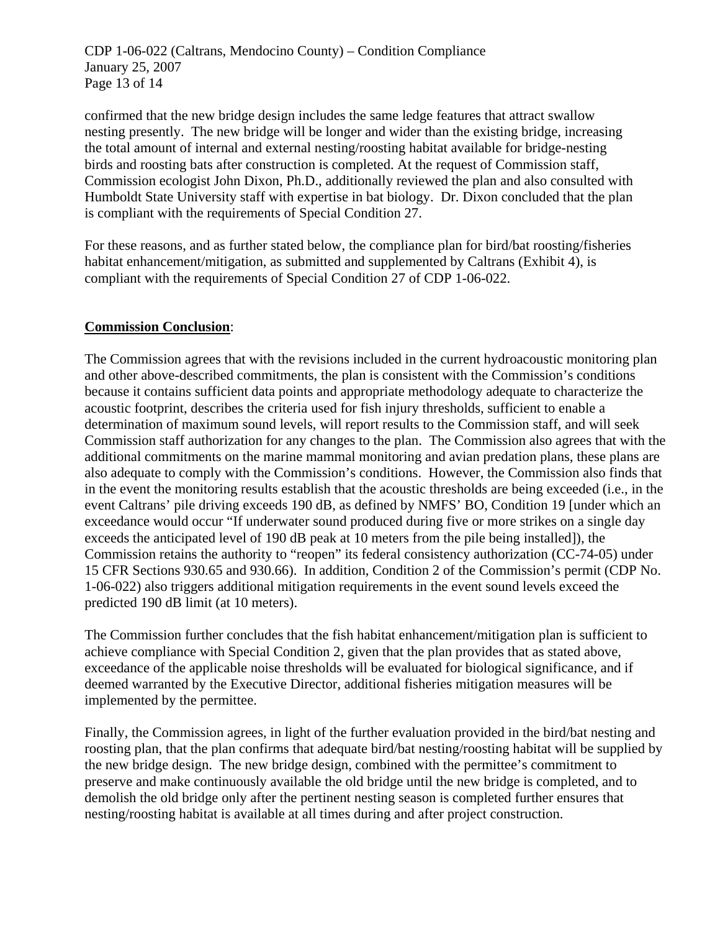CDP 1-06-022 (Caltrans, Mendocino County) – Condition Compliance January 25, 2007 Page 13 of 14

confirmed that the new bridge design includes the same ledge features that attract swallow nesting presently. The new bridge will be longer and wider than the existing bridge, increasing the total amount of internal and external nesting/roosting habitat available for bridge-nesting birds and roosting bats after construction is completed. At the request of Commission staff, Commission ecologist John Dixon, Ph.D., additionally reviewed the plan and also consulted with Humboldt State University staff with expertise in bat biology. Dr. Dixon concluded that the plan is compliant with the requirements of Special Condition 27.

For these reasons, and as further stated below, the compliance plan for bird/bat roosting/fisheries habitat enhancement/mitigation, as submitted and supplemented by Caltrans (Exhibit 4), is compliant with the requirements of Special Condition 27 of CDP 1-06-022.

# **Commission Conclusion**:

The Commission agrees that with the revisions included in the current hydroacoustic monitoring plan and other above-described commitments, the plan is consistent with the Commission's conditions because it contains sufficient data points and appropriate methodology adequate to characterize the acoustic footprint, describes the criteria used for fish injury thresholds, sufficient to enable a determination of maximum sound levels, will report results to the Commission staff, and will seek Commission staff authorization for any changes to the plan. The Commission also agrees that with the additional commitments on the marine mammal monitoring and avian predation plans, these plans are also adequate to comply with the Commission's conditions. However, the Commission also finds that in the event the monitoring results establish that the acoustic thresholds are being exceeded (i.e., in the event Caltrans' pile driving exceeds 190 dB, as defined by NMFS' BO, Condition 19 [under which an exceedance would occur "If underwater sound produced during five or more strikes on a single day exceeds the anticipated level of 190 dB peak at 10 meters from the pile being installed]), the Commission retains the authority to "reopen" its federal consistency authorization (CC-74-05) under 15 CFR Sections 930.65 and 930.66). In addition, Condition 2 of the Commission's permit (CDP No. 1-06-022) also triggers additional mitigation requirements in the event sound levels exceed the predicted 190 dB limit (at 10 meters).

The Commission further concludes that the fish habitat enhancement/mitigation plan is sufficient to achieve compliance with Special Condition 2, given that the plan provides that as stated above, exceedance of the applicable noise thresholds will be evaluated for biological significance, and if deemed warranted by the Executive Director, additional fisheries mitigation measures will be implemented by the permittee.

Finally, the Commission agrees, in light of the further evaluation provided in the bird/bat nesting and roosting plan, that the plan confirms that adequate bird/bat nesting/roosting habitat will be supplied by the new bridge design. The new bridge design, combined with the permittee's commitment to preserve and make continuously available the old bridge until the new bridge is completed, and to demolish the old bridge only after the pertinent nesting season is completed further ensures that nesting/roosting habitat is available at all times during and after project construction.